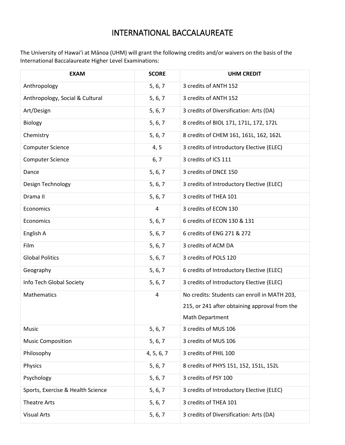## INTERNATIONAL BACCALAUREATE

The University of Hawai'i at Mānoa (UHM) will grant the following credits and/or waivers on the basis of the International Baccalaureate Higher Level Examinations:

| <b>EXAM</b>                       | <b>SCORE</b> | <b>UHM CREDIT</b>                             |
|-----------------------------------|--------------|-----------------------------------------------|
| Anthropology                      | 5, 6, 7      | 3 credits of ANTH 152                         |
| Anthropology, Social & Cultural   | 5, 6, 7      | 3 credits of ANTH 152                         |
| Art/Design                        | 5, 6, 7      | 3 credits of Diversification: Arts (DA)       |
| Biology                           | 5, 6, 7      | 8 credits of BIOL 171, 171L, 172, 172L        |
| Chemistry                         | 5, 6, 7      | 8 credits of CHEM 161, 161L, 162, 162L        |
| <b>Computer Science</b>           | 4, 5         | 3 credits of Introductory Elective (ELEC)     |
| <b>Computer Science</b>           | 6, 7         | 3 credits of ICS 111                          |
| Dance                             | 5, 6, 7      | 3 credits of DNCE 150                         |
| Design Technology                 | 5, 6, 7      | 3 credits of Introductory Elective (ELEC)     |
| Drama II                          | 5, 6, 7      | 3 credits of THEA 101                         |
| Economics                         | 4            | 3 credits of ECON 130                         |
| Economics                         | 5, 6, 7      | 6 credits of ECON 130 & 131                   |
| English A                         | 5, 6, 7      | 6 credits of ENG 271 & 272                    |
| Film                              | 5, 6, 7      | 3 credits of ACM DA                           |
| <b>Global Politics</b>            | 5, 6, 7      | 3 credits of POLS 120                         |
| Geography                         | 5, 6, 7      | 6 credits of Introductory Elective (ELEC)     |
| Info Tech Global Society          | 5, 6, 7      | 3 credits of Introductory Elective (ELEC)     |
| Mathematics                       | 4            | No credits: Students can enroll in MATH 203,  |
|                                   |              | 215, or 241 after obtaining approval from the |
|                                   |              | Math Department                               |
| Music                             | 5, 6, 7      | 3 credits of MUS 106                          |
| <b>Music Composition</b>          | 5, 6, 7      | 3 credits of MUS 106                          |
| Philosophy                        | 4, 5, 6, 7   | 3 credits of PHIL 100                         |
| Physics                           | 5, 6, 7      | 8 credits of PHYS 151, 152, 151L, 152L        |
| Psychology                        | 5, 6, 7      | 3 credits of PSY 100                          |
| Sports, Exercise & Health Science | 5, 6, 7      | 3 credits of Introductory Elective (ELEC)     |
| <b>Theatre Arts</b>               | 5, 6, 7      | 3 credits of THEA 101                         |
| <b>Visual Arts</b>                | 5, 6, 7      | 3 credits of Diversification: Arts (DA)       |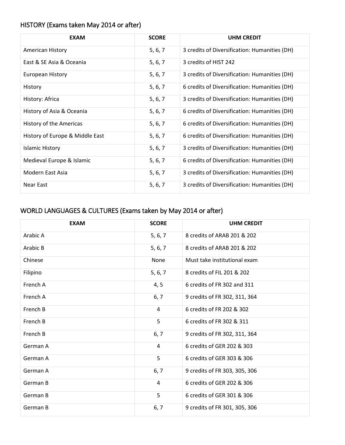## HISTORY (Exams taken May 2014 or after)

| <b>EXAM</b>                     | <b>SCORE</b> | <b>UHM CREDIT</b>                             |
|---------------------------------|--------------|-----------------------------------------------|
| American History                | 5, 6, 7      | 3 credits of Diversification: Humanities (DH) |
| East & SE Asia & Oceania        | 5, 6, 7      | 3 credits of HIST 242                         |
| European History                | 5, 6, 7      | 3 credits of Diversification: Humanities (DH) |
| History                         | 5, 6, 7      | 6 credits of Diversification: Humanities (DH) |
| History: Africa                 | 5, 6, 7      | 3 credits of Diversification: Humanities (DH) |
| History of Asia & Oceania       | 5, 6, 7      | 6 credits of Diversification: Humanities (DH) |
| History of the Americas         | 5, 6, 7      | 6 credits of Diversification: Humanities (DH) |
| History of Europe & Middle East | 5, 6, 7      | 6 credits of Diversification: Humanities (DH) |
| <b>Islamic History</b>          | 5, 6, 7      | 3 credits of Diversification: Humanities (DH) |
| Medieval Europe & Islamic       | 5, 6, 7      | 6 credits of Diversification: Humanities (DH) |
| Modern East Asia                | 5, 6, 7      | 3 credits of Diversification: Humanities (DH) |
| Near East                       | 5, 6, 7      | 3 credits of Diversification: Humanities (DH) |

## WORLD LANGUAGES & CULTURES (Exams taken by May 2014 or after)

| <b>EXAM</b> | <b>SCORE</b> | <b>UHM CREDIT</b>             |
|-------------|--------------|-------------------------------|
| Arabic A    | 5, 6, 7      | 8 credits of ARAB 201 & 202   |
| Arabic B    | 5, 6, 7      | 8 credits of ARAB 201 & 202   |
| Chinese     | None         | Must take institutional exam  |
| Filipino    | 5, 6, 7      | 8 credits of FIL 201 & 202    |
| French A    | 4, 5         | 6 credits of FR 302 and 311   |
| French A    | 6, 7         | 9 credits of FR 302, 311, 364 |
| French B    | 4            | 6 credits of FR 202 & 302     |
| French B    | 5            | 6 credits of FR 302 & 311     |
| French B    | 6, 7         | 9 credits of FR 302, 311, 364 |
| German A    | 4            | 6 credits of GER 202 & 303    |
| German A    | 5            | 6 credits of GER 303 & 306    |
| German A    | 6, 7         | 9 credits of FR 303, 305, 306 |
| German B    | 4            | 6 credits of GER 202 & 306    |
| German B    | 5            | 6 credits of GER 301 & 306    |
| German B    | 6, 7         | 9 credits of FR 301, 305, 306 |